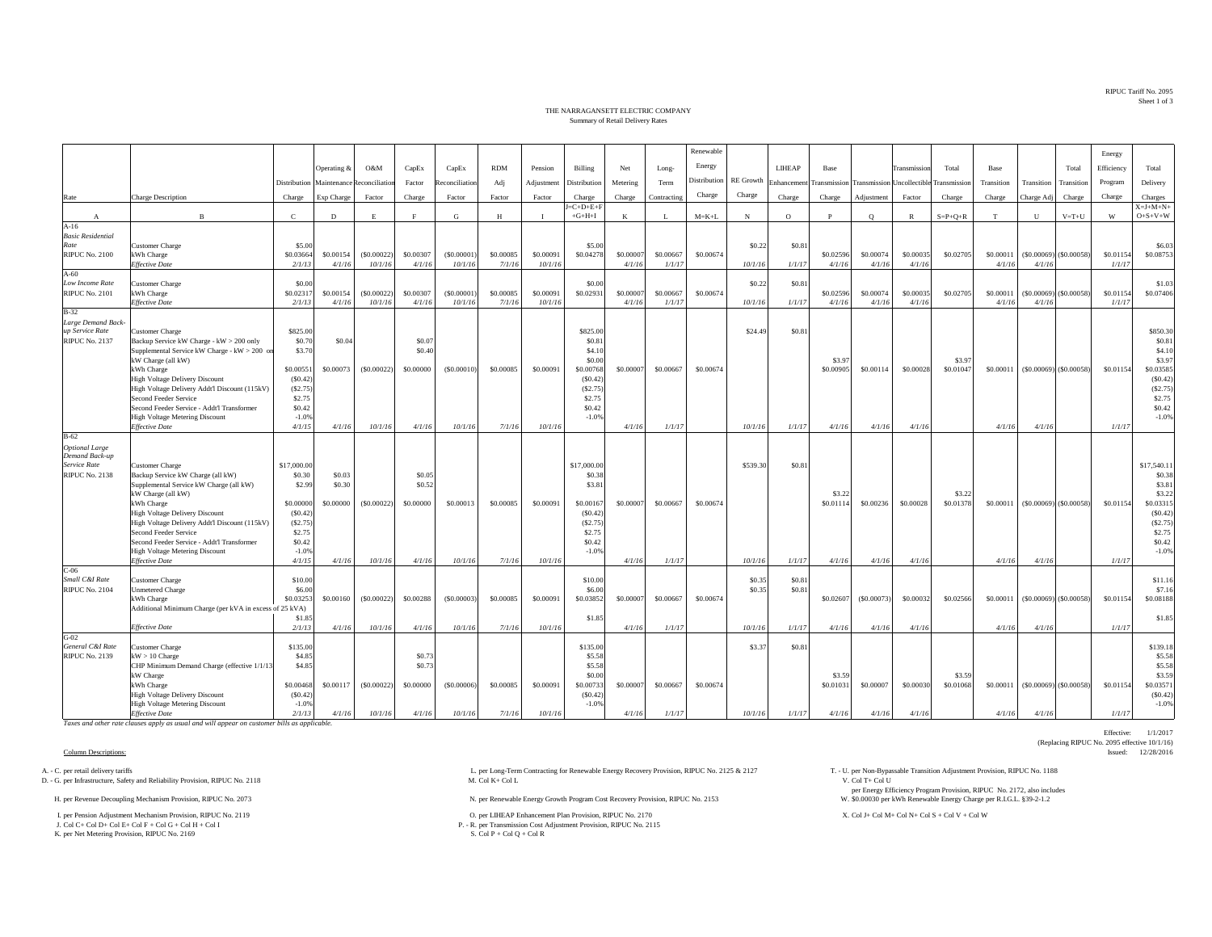RIPUC Tariff No. 2095Sheet 1 of 3

## THE NARRAGANSETT ELECTRIC COMPANYSummary of Retail Delivery Rates

|                                          |                                                                    |                     |             |                |           |                |            |              |                                 |           |             | Renewable    |                  |            |                     |              |                                         |                     |            |            |                               | Energy     |                                      |
|------------------------------------------|--------------------------------------------------------------------|---------------------|-------------|----------------|-----------|----------------|------------|--------------|---------------------------------|-----------|-------------|--------------|------------------|------------|---------------------|--------------|-----------------------------------------|---------------------|------------|------------|-------------------------------|------------|--------------------------------------|
|                                          |                                                                    |                     | Operating & | O&M            | CapEx     | CapEx          | <b>RDM</b> | Pension      | Billing                         | Net       |             | Energy       |                  | LIHEAP     | Base                |              | Transmission                            | Total               | Base       |            | Total                         | Efficiency | Total                                |
|                                          |                                                                    |                     |             |                |           |                |            |              |                                 |           | Long-       | Distribution | <b>RE</b> Growth |            |                     |              |                                         |                     |            |            |                               |            |                                      |
|                                          |                                                                    | Distribution        | Maintenance | Reconciliation | Factor    | teconciliation | Adj        | Adjustment   | Distribution                    | Metering  | Term        |              |                  | Enhancemen |                     |              | Transmission Transmission Uncollectible | Transmission        | Transition | Transition | Transition                    | Program    | Delivery                             |
| Rate                                     | Charge Description                                                 | Charge              | Exp Charge  | Factor         | Charge    | Factor         | Factor     | Factor       | Charge                          | Charge    | Contracting | Charge       | Charge           | Charge     | Charge              | Adjustment   | Factor                                  | Charge              | Charge     | Charge Adj | Charge                        | Charge     | Charges                              |
|                                          | B                                                                  | $\mathbf{C}$        | D           | E              |           | G              | H          | $\mathbf{I}$ | $J = C + D + E + F$<br>$+G+H+I$ | K         | -L          | $M = K + L$  | $_{\rm N}$       | $\circ$    | P                   | $\circ$      | $\mathbb{R}$                            | $S = P + Q + R$     | T          | U          | $V = T + U$                   | W          | $X = J + M + N +$<br>$O + S + V + W$ |
| $\mathbf{A}$<br>$A-16$                   |                                                                    |                     |             |                |           |                |            |              |                                 |           |             |              |                  |            |                     |              |                                         |                     |            |            |                               |            |                                      |
| <b>Basic Residential</b>                 |                                                                    |                     |             |                |           |                |            |              |                                 |           |             |              |                  |            |                     |              |                                         |                     |            |            |                               |            |                                      |
| Rate                                     | Customer Charge                                                    | \$5.00              |             |                |           |                |            |              | \$5.00                          |           |             |              | \$0.22           | \$0.8      |                     |              |                                         |                     |            |            |                               |            | \$6.03                               |
| <b>RIPUC No. 2100</b>                    | kWh Charge                                                         | \$0.03664           | \$0.00154   | (S0.00022)     | \$0.00307 | (S0.00001)     | \$0.00085  | \$0.00091    | \$0.04278                       | \$0.0000  | \$0.00667   | \$0.00674    |                  |            | \$0.02596           | \$0.00074    | \$0.00035                               | \$0.02705           | \$0.00011  |            | $($ \$0.00069) $($ \$0.00058) | \$0.01154  | \$0.08753                            |
|                                          | <b>Effective Date</b>                                              | 2/1/13              | 4/1/16      | 10/1/16        | 4/1/16    | 10/1/16        | 7/1/16     | 10/1/16      |                                 | 4/1/16    | 1/1/17      |              | 10/1/16          | 1/1/17     | 4/1/16              | 4/1/16       | 4/1/16                                  |                     | 4/1/16     | 4/1/16     |                               | 1/1/17     |                                      |
| $A-60$                                   |                                                                    |                     |             |                |           |                |            |              |                                 |           |             |              |                  |            |                     |              |                                         |                     |            |            |                               |            |                                      |
| Low Income Rate<br><b>RIPUC No. 2101</b> | <b>Customer Charge</b><br>kWh Charge                               | \$0.00<br>\$0.02317 | \$0.00154   | (S0.00022)     | \$0.00307 | (S0.00001)     | \$0.00085  | \$0.00091    | \$0.00<br>\$0.02931             | \$0.0000  | \$0.00667   | \$0.00674    | \$0.22           | \$0.81     | \$0.02596           | \$0.00074    | \$0.00035                               | \$0.02705           | \$0.00011  |            | $(\$0.00069)$ (\$0.00058)     | \$0.01154  | \$1.03<br>\$0.07406                  |
|                                          | <b>Effective Date</b>                                              | 2/1/1               | 4/1/16      | 10/1/16        | 4/1/16    | 10/1/16        | 7/1/16     | 10/1/16      |                                 | 4/1/16    | 1/1/17      |              | 10/1/16          | 1/1/17     | 4/1/16              | 4/1/16       | 4/1/16                                  |                     | 4/1/16     | 4/1/16     |                               | 1/1/17     |                                      |
| $B-32$                                   |                                                                    |                     |             |                |           |                |            |              |                                 |           |             |              |                  |            |                     |              |                                         |                     |            |            |                               |            |                                      |
| Large Demand Back                        |                                                                    |                     |             |                |           |                |            |              |                                 |           |             |              |                  |            |                     |              |                                         |                     |            |            |                               |            |                                      |
| up Service Rate                          | Customer Charge                                                    | \$825.00            |             |                |           |                |            |              | \$825.00                        |           |             |              | \$24.49          | \$0.8      |                     |              |                                         |                     |            |            |                               |            | \$850.30                             |
| <b>RIPUC No. 2137</b>                    | Backup Service kW Charge - kW > 200 only                           | \$0.70              | \$0.04      |                | \$0.07    |                |            |              | \$0.81                          |           |             |              |                  |            |                     |              |                                         |                     |            |            |                               |            | \$0.81                               |
|                                          | Supplemental Service kW Charge - kW > 200 or<br>kW Charge (all kW) | \$3.70              |             |                | \$0.40    |                |            |              | \$4.10<br>\$0.00                |           |             |              |                  |            | \$3.97              |              |                                         | \$3.97              |            |            |                               |            | \$4.10<br>\$3.97                     |
|                                          | kWh Charge                                                         | \$0.00551           | \$0.00073   | (S0.00022)     | \$0,00000 | (S0.00010)     | \$0.00085  | \$0,00091    | \$0.00768                       | \$0.00007 | \$0.00667   | \$0.00674    |                  |            | \$0,00905           | \$0.00114    | \$0.00028                               | \$0.01047           | \$0.00011  |            | $($ \$0.00069) $($ \$0.00058) | \$0.01154  | \$0.03585                            |
|                                          | <b>High Voltage Delivery Discount</b>                              | (S0.42)             |             |                |           |                |            |              | (S0.42)                         |           |             |              |                  |            |                     |              |                                         |                     |            |            |                               |            | (S0.42)                              |
|                                          | High Voltage Delivery Addt'l Discount (115kV)                      | (S2.75)             |             |                |           |                |            |              | (S2.75)                         |           |             |              |                  |            |                     |              |                                         |                     |            |            |                               |            | (S2.75)                              |
|                                          | Second Feeder Service                                              | \$2.75              |             |                |           |                |            |              | \$2.75                          |           |             |              |                  |            |                     |              |                                         |                     |            |            |                               |            | \$2.75                               |
|                                          | Second Feeder Service - Addt'l Transformer                         | \$0.42              |             |                |           |                |            |              | \$0.42                          |           |             |              |                  |            |                     |              |                                         |                     |            |            |                               |            | \$0.42                               |
|                                          | <b>High Voltage Metering Discount</b><br><b>Effective Date</b>     | $-1.0%$             |             |                |           |                |            |              | $-1.0%$                         |           |             |              |                  |            |                     |              |                                         |                     |            |            |                               |            | $-1.0%$                              |
| $B-62$                                   |                                                                    | 4/1/15              | 4/1/16      | 10/1/16        | 4/1/16    | 10/1/16        | 7/1/16     | 10/1/16      |                                 | 4/1/16    | 1/1/17      |              | 10/1/16          | 1/1/17     | 4/1/16              | 4/1/16       | 4/1/16                                  |                     | 4/1/16     | 4/1/16     |                               | 1/1/17     |                                      |
| <b>Optional Large</b>                    |                                                                    |                     |             |                |           |                |            |              |                                 |           |             |              |                  |            |                     |              |                                         |                     |            |            |                               |            |                                      |
| Demand Back-up                           |                                                                    |                     |             |                |           |                |            |              |                                 |           |             |              |                  |            |                     |              |                                         |                     |            |            |                               |            |                                      |
| Service Rate                             | Customer Charge                                                    | \$17,000.0          |             |                |           |                |            |              | \$17,000.00                     |           |             |              | \$539.30         | \$0.81     |                     |              |                                         |                     |            |            |                               |            | \$17,540.1                           |
| RIPUC No. 2138                           | Backup Service kW Charge (all kW)                                  | \$0.30              | \$0.03      |                | \$0.05    |                |            |              | \$0.38                          |           |             |              |                  |            |                     |              |                                         |                     |            |            |                               |            | \$0.38                               |
|                                          | Supplemental Service kW Charge (all kW)                            | \$2.99              | \$0.30      |                | \$0.52    |                |            |              | \$3.8                           |           |             |              |                  |            |                     |              |                                         |                     |            |            |                               |            | \$3.81                               |
|                                          | kW Charge (all kW)<br>kWh Charge                                   | \$0,00000           | \$0,00000   | (S0.00022)     | \$0,00000 | \$0,00013      | \$0,00085  | \$0,00091    | \$0,00167                       | \$0,0000  | \$0,00667   | \$0,00674    |                  |            | \$3.22<br>\$0.01114 | \$0,00236    | \$0,00028                               | \$3.22<br>\$0,01378 | \$0,00011  |            | $(S0,00069)$ $(S0,00058)$     | \$0.01154  | \$3.22<br>\$0.03315                  |
|                                          | <b>High Voltage Delivery Discount</b>                              | (S0.42)             |             |                |           |                |            |              | (S0.42)                         |           |             |              |                  |            |                     |              |                                         |                     |            |            |                               |            | (S0.42)                              |
|                                          | High Voltage Delivery Addt'l Discount (115kV)                      | (S2.75)             |             |                |           |                |            |              | (S2.75)                         |           |             |              |                  |            |                     |              |                                         |                     |            |            |                               |            | (S2.75)                              |
|                                          | Second Feeder Service                                              | \$2.75              |             |                |           |                |            |              | \$2.75                          |           |             |              |                  |            |                     |              |                                         |                     |            |            |                               |            | \$2.75                               |
|                                          | Second Feeder Service - Addt'l Transformer                         | \$0.42              |             |                |           |                |            |              | \$0.42                          |           |             |              |                  |            |                     |              |                                         |                     |            |            |                               |            | \$0.42                               |
|                                          | High Voltage Metering Discount                                     | $-1.0%$             |             |                |           |                |            |              | $-1.0%$                         |           |             |              |                  |            |                     |              |                                         |                     |            |            |                               |            | $-1.0%$                              |
|                                          | <b>Effective Date</b>                                              | 4/1/15              | 4/1/16      | 10/1/16        | 4/1/16    | 10/1/16        | 7/1/16     | 10/1/16      |                                 | 4/1/16    | 1/1/17      |              | 10/1/16          | 1/1/17     | 4/1/16              | 4/1/16       | 4/1/16                                  |                     | 4/1/16     | 4/1/16     |                               | 1/1/17     |                                      |
| $C-06$<br>Small C&I Rate                 | Customer Charge                                                    | \$10.00             |             |                |           |                |            |              | \$10.00                         |           |             |              | \$0.35           | \$0.81     |                     |              |                                         |                     |            |            |                               |            | \$11.16                              |
| <b>RIPUC No. 2104</b>                    | <b>Unmetered Charge</b>                                            | \$6.00              |             |                |           |                |            |              | \$6.00                          |           |             |              | \$0.35           | \$0.8      |                     |              |                                         |                     |            |            |                               |            | \$7.16                               |
|                                          | kWh Charge                                                         | \$0,03253           | \$0.00160   | (S0.00022)     | \$0,00288 | (S0,00003)     | \$0,00085  | \$0,00091    | \$0.03852                       | \$0.0000  | \$0.00667   | \$0,00674    |                  |            | \$0.02607           | ( \$0.00073) | \$0,00032                               | \$0,02566           | \$0,00011  |            | $($ \$0.00069) $($ \$0.00058) | \$0.01154  | \$0.08188                            |
|                                          | Additional Minimum Charge (per kVA in excess of 25 kVA)            |                     |             |                |           |                |            |              |                                 |           |             |              |                  |            |                     |              |                                         |                     |            |            |                               |            |                                      |
|                                          |                                                                    | \$1.85              |             |                |           |                |            |              | \$1.85                          |           |             |              |                  |            |                     |              |                                         |                     |            |            |                               |            | \$1.85                               |
|                                          | <b>Effective Date</b>                                              | 2/1/13              | 4/1/16      | 10/1/16        | 4/1/16    | 10/1/16        | 7/1/16     | 10/1/16      |                                 | 4/1/16    | 1/1/17      |              | 10/1/16          | 1/1/17     | 4/1/16              | 4/1/16       | 4/1/16                                  |                     | 4/1/16     | 4/1/16     |                               | 1/1/17     |                                      |
| G-02<br>General C&I Rate                 | <b>Customer Charge</b>                                             | \$135.00            |             |                |           |                |            |              | \$135.00                        |           |             |              | \$3.37           | \$0.81     |                     |              |                                         |                     |            |            |                               |            | \$139.18                             |
| <b>RIPUC No. 2139</b>                    | $kW > 10$ Charge                                                   | \$4.85              |             |                | \$0.73    |                |            |              | \$5.58                          |           |             |              |                  |            |                     |              |                                         |                     |            |            |                               |            | \$5.58                               |
|                                          | CHP Minimum Demand Charge (effective 1/1/13                        | \$4.85              |             |                | \$0.73    |                |            |              | \$5.58                          |           |             |              |                  |            |                     |              |                                         |                     |            |            |                               |            | \$5.58                               |
|                                          | kW Charge                                                          |                     |             |                |           |                |            |              | \$0.00                          |           |             |              |                  |            | \$3.59              |              |                                         | \$3.59              |            |            |                               |            | \$3.59                               |
|                                          | kWh Charge                                                         | \$0,00468           | \$0.00117   | (S0.00022)     | \$0,00000 | $($ \$0,00006) | \$0,00085  | \$0,00091    | \$0.00733                       | \$0.0000  | \$0.00667   | \$0.00674    |                  |            | \$0.01031           | \$0.00007    | \$0.00030                               | \$0.01068           | \$0.00011  |            | $($ \$0.00069) $($ \$0.00058) | \$0.01154  | \$0.03571                            |
|                                          | <b>High Voltage Delivery Discount</b>                              | (S0.42)             |             |                |           |                |            |              | (S0.42)                         |           |             |              |                  |            |                     |              |                                         |                     |            |            |                               |            | (S0.42)                              |
|                                          | <b>High Voltage Metering Discount</b><br><b>Effective Date</b>     | $-1.0%$<br>2/1/13   | 4/1/16      | 10/1/16        | 4/1/16    | 10/1/16        | 7/1/16     | 10/1/16      | $-1.0%$                         | 4/1/16    | 1/1/17      |              | 10/1/16          | 1/1/17     | 4/1/16              | 4/1/16       | 4/1/16                                  |                     | 4/1/16     | 4/1/16     |                               | 1/1/17     | $-1.0%$                              |
|                                          |                                                                    |                     |             |                |           |                |            |              |                                 |           |             |              |                  |            |                     |              |                                         |                     |            |            |                               |            |                                      |

*Taxes and other rate clauses apply as usual and will appear on customer bills as applicable.*

D. - G. per Infrastructure, Safety and Reliability Provision, RIPUC No. 2118

I. per Pension Adjustment Mechanism Provision, RIPUC No. 2119 O. per LIHEAP Enhancement Plan Provision, RIPUC No. 2170 X. Col J+ Col M+ Col N+ Col S + Col V + Col W

J. Col C+ Col D+ Col E+ Col F + Col G + Col H + Col IK. per Net Metering Provision, RIPUC No. 2169

A. - C. per retail delivery tariffs Adjustment Provision, RIPUC No. 2118<br>
D. - G. per Long-Term Contracting for Renewable Energy Recovery Provision, RIPUC No. 2125 & 2127 T. - U. per Non-Bypassable Transition Adjustment Pr

H. per Renewable Energy Growth Program Cost Recovery Provision, RIPUC No. 2153 N. per Renewable Energy Growth Program Cost Recovery Provision, RIPUC No. 2153

P. - R. per Transmission Cost Adjustment Provision, RIPUC No. 2115<br>S. Col P + Col Q + Col R

per Energy Efficiency Program Provision, RIPUC No. 2172, also includes \$0.00030 per kWh Renewable Energy Charge per R.I.G.L. §39-2-1.2

Effective: 1/1/2017 (Replacing RIPUC No. 2095 effective 10/1/16)<br>Issued: 12/28/2016 Column Descriptions: Issued: 12/28/2016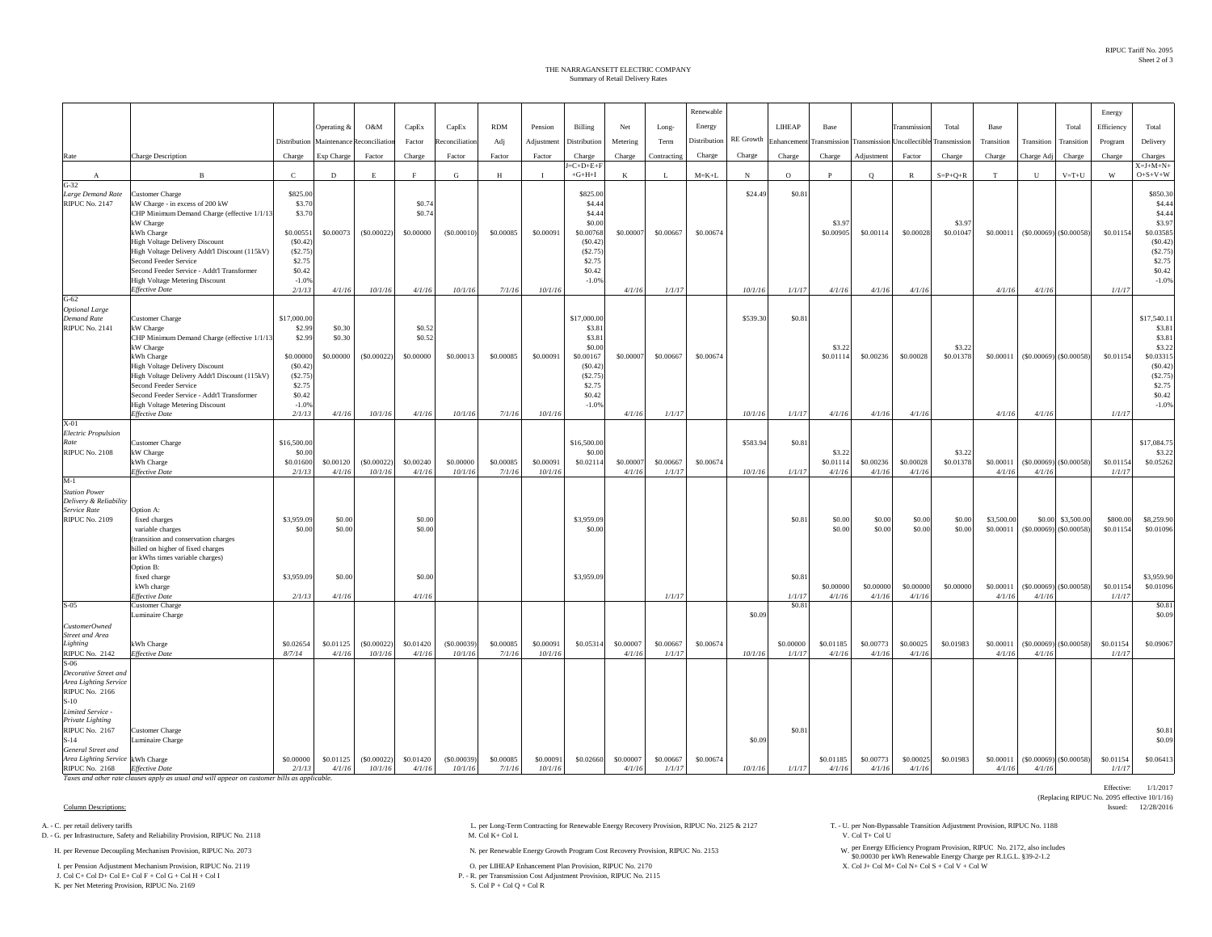Effective: 1/1/2017

(Replacing RIPUC No. 2095 effective 10/1/16)

## Summary of Retail Delivery Rates THE NARRAGANSETT ELECTRIC COMPANY

|                                                |                                                                                              |                    |             |               |                  |                |            |            |                    |           |             | Renewable    |            |                       |                     |                            |                    |                 |             |                               |                               | Energy     |                    |
|------------------------------------------------|----------------------------------------------------------------------------------------------|--------------------|-------------|---------------|------------------|----------------|------------|------------|--------------------|-----------|-------------|--------------|------------|-----------------------|---------------------|----------------------------|--------------------|-----------------|-------------|-------------------------------|-------------------------------|------------|--------------------|
|                                                |                                                                                              |                    | Operating & | O&M           | CapEx            | CapEx          | <b>RDM</b> | Pension    | Billing            | Net       | Long-       | Energy       |            | LIHEAP                | Base                |                            | <b>Transmissic</b> | Total           | Base        |                               | Total                         | Efficiency | Total              |
|                                                |                                                                                              | Distribution       | Maintenance | teconciliatio | Factor           | Reconciliation | Adj        | Adjustment | Distribution       | Metering  | Term        | Distribution |            | RE Growth Enhancement | <b>Transmission</b> | Transmission Uncollectible |                    | Transmission    | Transition  | Transition                    | Transition                    | Program    | Delivery           |
| Rate                                           | Charge Description                                                                           | Charge             | Exp Charge  | Factor        | Charge           | Factor         | Factor     | Factor     | Charge             | Charge    | Contracting | Charge       | Charge     | Charge                | Charge              | Adjustment                 | Factor             | Charge          | Charge      | Charge Adj                    | Charge                        | Charge     | Charges            |
|                                                |                                                                                              |                    |             |               |                  |                |            |            | $=C+D+E+F$         |           |             |              |            |                       |                     |                            |                    |                 |             |                               |                               |            | $X = J + M + N +$  |
| A<br>$G-32$                                    | $\mathbf{B}$                                                                                 | $\mathbf C$        | $\mathbf D$ | E             | F                | G              | H          | $\bf{I}$   | $+G+H+I$           | K         | L           | $M = K + L$  | $_{\rm N}$ | $\circ$               | $\mathbf{P}$        | $\circ$                    | $\mathbb{R}$       | $S = P + Q + R$ | $\mathbf T$ | ${\bf U}$                     | $V = T + U$                   | W          | $O + S + V + W$    |
| Large Demand Rate                              | <b>Customer Charge</b>                                                                       | \$825.00           |             |               |                  |                |            |            | \$825.00           |           |             |              | \$24.49    | \$0.81                |                     |                            |                    |                 |             |                               |                               |            | \$850.30           |
| <b>RIPUC No. 2147</b>                          | kW Charge - in excess of 200 kW<br>CHP Minimum Demand Charge (effective 1/1/13               | \$3.70<br>\$3.70   |             |               | \$0.74<br>\$0.74 |                |            |            | \$4.44<br>\$4.44   |           |             |              |            |                       |                     |                            |                    |                 |             |                               |                               |            | \$4.4<br>\$4.44    |
|                                                | kW Charge                                                                                    |                    |             |               |                  |                |            |            | \$0.00             |           |             |              |            |                       | \$3.97              |                            |                    | \$3.9           |             |                               |                               |            | \$3.97             |
|                                                | kWh Charge                                                                                   | \$0.00551          | \$0.00073   | (\$0.00022)   | \$0.00000        | (S0.00010)     | \$0.00085  | \$0.00091  | \$0.00768          | \$0.00007 | \$0.00667   | \$0.00674    |            |                       | \$0,00905           | \$0.00114                  | \$0.00028          | \$0.01047       | \$0.00011   |                               | $($ \$0.00069) $($ \$0.00058) | \$0.01154  | \$0.03585          |
|                                                | <b>High Voltage Delivery Discount</b><br>High Voltage Delivery Addt'l Discount (115kV)       | (S0.42)<br>(S2.75) |             |               |                  |                |            |            | (S0.42)<br>(S2.75) |           |             |              |            |                       |                     |                            |                    |                 |             |                               |                               |            | (S0.42)<br>(S2.75) |
|                                                | Second Feeder Service                                                                        | \$2.75             |             |               |                  |                |            |            | \$2.75             |           |             |              |            |                       |                     |                            |                    |                 |             |                               |                               |            | \$2.75             |
|                                                | Second Feeder Service - Addt'l Transformer<br><b>High Voltage Metering Discount</b>          | \$0.42<br>$-1.0%$  |             |               |                  |                |            |            | \$0.42<br>$-1.0%$  |           |             |              |            |                       |                     |                            |                    |                 |             |                               |                               |            | \$0.42<br>$-1.0%$  |
|                                                | <b>Effective Date</b>                                                                        | 2/1/13             | 4/1/16      | 10/1/16       | 4/1/16           | 10/1/16        | 7/1/16     | 10/1/16    |                    | 4/1/16    | 1/1/17      |              | 10/1/16    | 1/1/17                | 4/1/16              | 4/1/16                     | 4/1/16             |                 | 4/1/16      | 4/1/16                        |                               | 1/1/17     |                    |
| $G-62$                                         |                                                                                              |                    |             |               |                  |                |            |            |                    |           |             |              |            |                       |                     |                            |                    |                 |             |                               |                               |            |                    |
| <b>Optional Large</b><br><b>Demand Rate</b>    | <b>Customer Charge</b>                                                                       | \$17,000.00        |             |               |                  |                |            |            | \$17,000.00        |           |             |              | \$539.30   | \$0.81                |                     |                            |                    |                 |             |                               |                               |            | \$17,540.1         |
| <b>RIPUC No. 2141</b>                          | kW Charge                                                                                    | \$2.99             | \$0.30      |               | \$0.52           |                |            |            | \$3.81             |           |             |              |            |                       |                     |                            |                    |                 |             |                               |                               |            | \$3.8              |
|                                                | CHP Minimum Demand Charge (effective 1/1/1)<br>kW Charge                                     | \$2.99             | \$0.30      |               | \$0.52           |                |            |            | \$3.81<br>\$0.00   |           |             |              |            |                       | \$3.22              |                            |                    | \$3.23          |             |                               |                               |            | \$3.8<br>\$3.22    |
|                                                | kWh Charge                                                                                   | \$0,00000          | \$0.00000   | (S0.00022)    | \$0,00000        | \$0.00013      | \$0.00085  | \$0.00091  | \$0.00167          | \$0.00007 | \$0.00667   | \$0.00674    |            |                       | \$0,01114           | \$0.00236                  | \$0.00028          | \$0.01378       | \$0.00011   |                               | $($ \$0.00069) $($ \$0.00058) | \$0.01154  | \$0.03315          |
|                                                | High Voltage Delivery Discount                                                               | (S0.42)            |             |               |                  |                |            |            | (S0.42)            |           |             |              |            |                       |                     |                            |                    |                 |             |                               |                               |            | (S0.42)            |
|                                                | High Voltage Delivery Addt'l Discount (115kV)<br>Second Feeder Service                       | (S2.75)<br>\$2.75  |             |               |                  |                |            |            | (S2.75)<br>\$2.75  |           |             |              |            |                       |                     |                            |                    |                 |             |                               |                               |            | (S2.75)<br>\$2.75  |
|                                                | Second Feeder Service - Addt'l Transformer                                                   | \$0.42             |             |               |                  |                |            |            | \$0.42             |           |             |              |            |                       |                     |                            |                    |                 |             |                               |                               |            | \$0.42             |
|                                                | <b>High Voltage Metering Discount</b><br><b>Effective Date</b>                               | $-1.0%$<br>2/1/13  | 4/1/16      | 10/1/16       | 4/1/16           | 10/1/16        | 7/1/16     | 10/1/16    | $-1.0%$            | 4/1/16    | 1/1/17      |              | 10/1/16    | 1/1/17                | 4/1/16              | 4/1/16                     | 4/1/16             |                 | 4/1/16      | 4/1/16                        |                               | 1/1/17     | $-1.0%$            |
| $X-01$                                         |                                                                                              |                    |             |               |                  |                |            |            |                    |           |             |              |            |                       |                     |                            |                    |                 |             |                               |                               |            |                    |
| <b>Electric Propulsion</b><br>Rate             |                                                                                              | \$16,500.00        |             |               |                  |                |            |            | \$16,500.00        |           |             |              |            |                       |                     |                            |                    |                 |             |                               |                               |            | \$17,084.7         |
| <b>RIPUC No. 2108</b>                          | Customer Charge<br>kW Charge                                                                 | \$0.00             |             |               |                  |                |            |            | \$0.00             |           |             |              | \$583.94   | \$0.81                | \$3.22              |                            |                    | \$3.23          |             |                               |                               |            | \$3.22             |
|                                                | kWh Charge                                                                                   | \$0.01600          | \$0.00120   | (S0.00022)    | \$0.00240        | \$0.00000      | \$0.00085  | \$0.00091  | \$0.02114          | \$0.00007 | \$0.00667   | \$0.00674    |            |                       | \$0.01114           | \$0.00236                  | \$0.00028          | \$0.01378       | \$0.00011   | $($ \$0.00069) $($ \$0.00058) |                               | \$0.01154  | \$0.05262          |
| $M-1$                                          | <b>Effective Date</b>                                                                        | 2/1/13             | 4/1/16      | 10/1/16       | 4/1/16           | 10/1/16        | 7/1/16     | 10/1/16    |                    | 4/1/16    | 1/1/17      |              | 10/1/16    | 1/1/17                | 4/1/16              | 4/1/16                     | 4/1/16             |                 | 4/1/16      | 4/1/16                        |                               | 1/1/17     |                    |
| <b>Station Power</b>                           |                                                                                              |                    |             |               |                  |                |            |            |                    |           |             |              |            |                       |                     |                            |                    |                 |             |                               |                               |            |                    |
| Delivery & Reliability<br>Service Rate         |                                                                                              |                    |             |               |                  |                |            |            |                    |           |             |              |            |                       |                     |                            |                    |                 |             |                               |                               |            |                    |
| <b>RIPUC No. 2109</b>                          | Option A:<br>fixed charges                                                                   | \$3,959.09         | \$0.00      |               | \$0.00           |                |            |            | \$3,959.09         |           |             |              |            | \$0.8                 | \$0.00              | \$0.00                     | \$0.00             | \$0.00          | \$3,500.00  | \$0.00                        | \$3,500.00                    | \$800.00   | \$8,259.90         |
|                                                | variable charges                                                                             | \$0.00             | \$0.00      |               | \$0.00           |                |            |            | \$0.00             |           |             |              |            |                       | \$0.00              | \$0.00                     | \$0.00             | \$0.00          | \$0.00011   |                               | $($ \$0.00069) $($ \$0.00058) | \$0.01154  | \$0.01096          |
|                                                | (transition and conservation charges<br>billed on higher of fixed charges                    |                    |             |               |                  |                |            |            |                    |           |             |              |            |                       |                     |                            |                    |                 |             |                               |                               |            |                    |
|                                                | or kWhs times variable charges)                                                              |                    |             |               |                  |                |            |            |                    |           |             |              |            |                       |                     |                            |                    |                 |             |                               |                               |            |                    |
|                                                | Option B:<br>fixed charge                                                                    | \$3,959.09         | \$0.00      |               | \$0.00           |                |            |            | \$3,959.09         |           |             |              |            | \$0.81                |                     |                            |                    |                 |             |                               |                               |            | \$3,959.90         |
|                                                | kWh charge                                                                                   |                    |             |               |                  |                |            |            |                    |           |             |              |            |                       | \$0.00000           | \$0.00000                  | \$0.00000          | \$0.00000       | \$0.00011   |                               | $(S0.00069)$ $(S0.00058)$     | \$0.01154  | \$0.01096          |
|                                                | Effective Date                                                                               | 2/1/13             | 4/1/16      |               | 4/1/16           |                |            |            |                    |           | 1/1/17      |              |            | 1/1/17                | 4/1/16              | 4/1/16                     | 4/1/16             |                 | 4/1/16      | 4/1/16                        |                               | 1/1/17     |                    |
| $S-05$                                         | <b>Customer Charge</b><br>Luminaire Charge                                                   |                    |             |               |                  |                |            |            |                    |           |             |              | \$0.09     | \$0.8                 |                     |                            |                    |                 |             |                               |                               |            | \$0.81<br>\$0.09   |
| CustomerOwned                                  |                                                                                              |                    |             |               |                  |                |            |            |                    |           |             |              |            |                       |                     |                            |                    |                 |             |                               |                               |            |                    |
| Street and Area<br>Lighting                    | kWh Charge                                                                                   | \$0.02654          | \$0.01125   | (S0.00022)    | \$0.01420        | $($ \$0.00039) | \$0,00085  | \$0.00091  | \$0.05314          | \$0,00007 | \$0.00667   | \$0,00674    |            | \$0,00000             | \$0.01185           | \$0,00773                  | \$0,00025          | \$0.01983       | \$0.00011   |                               | $($ \$0.00069) $($ \$0.00058) | \$0.01154  | \$0.09067          |
| <b>RIPUC No. 2142</b>                          | <b>Effective Date</b>                                                                        | 8/7/14             | 4/1/16      | 10/1/16       | 4/1/16           | 10/1/16        | 7/1/16     | 10/1/16    |                    | 4/1/16    | 1/1/17      |              | 10/1/16    | 1/1/17                | 4/1/16              | 4/1/16                     | 4/1/16             |                 | 4/1/16      | 4/1/16                        |                               | 1/1/17     |                    |
| $S-06$                                         |                                                                                              |                    |             |               |                  |                |            |            |                    |           |             |              |            |                       |                     |                            |                    |                 |             |                               |                               |            |                    |
| Decorative Street and<br>Area Lighting Service |                                                                                              |                    |             |               |                  |                |            |            |                    |           |             |              |            |                       |                     |                            |                    |                 |             |                               |                               |            |                    |
| <b>RIPUC No. 2166</b>                          |                                                                                              |                    |             |               |                  |                |            |            |                    |           |             |              |            |                       |                     |                            |                    |                 |             |                               |                               |            |                    |
| $S-10$<br>Limited Service -                    |                                                                                              |                    |             |               |                  |                |            |            |                    |           |             |              |            |                       |                     |                            |                    |                 |             |                               |                               |            |                    |
| Private Lighting                               |                                                                                              |                    |             |               |                  |                |            |            |                    |           |             |              |            |                       |                     |                            |                    |                 |             |                               |                               |            |                    |
| <b>RIPUC No. 2167</b>                          | <b>Customer Charge</b>                                                                       |                    |             |               |                  |                |            |            |                    |           |             |              |            | \$0.81                |                     |                            |                    |                 |             |                               |                               |            | \$0.81             |
| $S-14$<br>General Street and                   | Luminaire Charge                                                                             |                    |             |               |                  |                |            |            |                    |           |             |              | \$0.09     |                       |                     |                            |                    |                 |             |                               |                               |            | \$0.09             |
| Area Lighting Service kWh Charge               |                                                                                              | \$0.00000          | \$0.01125   | (\$0.00022)   | \$0.01420        | ( \$0.00039)   | \$0.00085  | \$0.0009   | \$0.02660          | \$0.00007 | \$0.00667   | \$0.00674    |            |                       | \$0.01185           | \$0.00773                  | \$0.00025          | \$0.01983       | \$0.00011   |                               | $($ \$0.00069) $($ \$0.00058) | \$0.01154  | \$0.06413          |
| RIPUC No. 2168 Effective Date                  | Taxes and other rate clauses apply as usual and will appear on customer bills as applicable. | 2/1/13             | 4/1/16      | 10/1/16       | 4/1/16           | 10/1/16        | 7/1/16     | 10/1/16    |                    | 4/1/16    | 1/1/17      |              | 10/1/16    | 1/1/17                | 4/1/16              | 4/1/16                     | 4/1/16             |                 | 4/1/16      | 4/1/16                        |                               | 1/1/17     |                    |

## Column Descriptions: Issued: 12/28/2016

D. - G. per Infrastructure, Safety and Reliability Provision, RIPUC No. 2118

I. per Pension Adjustment Mechanism Provision, RIPUC No. 2119 College and College and College and College and College and College and College and College and College and College and Col M+ Col 2170 Col 2170 Col 2170 Col 21 J. Col C+ Col D+ Col E+ Col F + Col G + Col H + Col I

K. per Net Metering Provision, RIPUC No. 2169

H. per Revenue Decoupling Mechanism Provision, RIPUC No. 2073 N. per Renewable Energy Growth Program Cost Recovery Provision, RIPUC No. 2153

P. - R. per Transmission Cost Adjustment Provision, RIPUC No. 2115<br>
S. Col P + Col Q + Col R

A. - C. per retail delivery tariffs Adjustment Provision, RIPUC No. 2118 L. per Long-Term Contracting for Renewable Energy Recovery Provision, RIPUC No. 2125 & 2127 T. - U. per Non-Bypassable Transition Adjustment Provisio

per Energy Efficiency Program Provision, RIPUC No. 2172, also includes \$0.00030 per kWh Renewable Energy Charge per R.I.G.L. §39-2-1.2